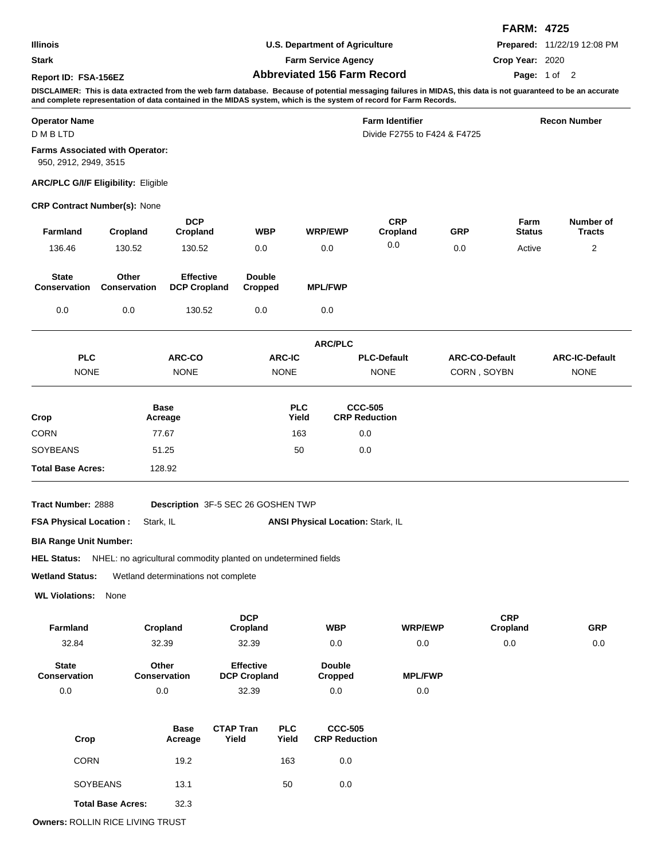|                                       |                                            |                                                                            |                          |                                          |                                                                                                                                                                                                                                                                                      |                       | <b>FARM: 4725</b> |                             |  |
|---------------------------------------|--------------------------------------------|----------------------------------------------------------------------------|--------------------------|------------------------------------------|--------------------------------------------------------------------------------------------------------------------------------------------------------------------------------------------------------------------------------------------------------------------------------------|-----------------------|-------------------|-----------------------------|--|
| <b>Illinois</b>                       |                                            |                                                                            |                          | <b>U.S. Department of Agriculture</b>    |                                                                                                                                                                                                                                                                                      |                       |                   | Prepared: 11/22/19 12:08 PM |  |
| <b>Stark</b>                          |                                            |                                                                            |                          | <b>Farm Service Agency</b>               |                                                                                                                                                                                                                                                                                      |                       | Crop Year: 2020   |                             |  |
| Report ID: FSA-156EZ                  |                                            |                                                                            |                          | <b>Abbreviated 156 Farm Record</b>       |                                                                                                                                                                                                                                                                                      |                       | Page: 1 of 2      |                             |  |
|                                       |                                            |                                                                            |                          |                                          | DISCLAIMER: This is data extracted from the web farm database. Because of potential messaging failures in MIDAS, this data is not guaranteed to be an accurate<br>and complete representation of data contained in the MIDAS system, which is the system of record for Farm Records. |                       |                   |                             |  |
| <b>Operator Name</b><br><b>DMBLTD</b> |                                            |                                                                            |                          |                                          | <b>Farm Identifier</b><br>Divide F2755 to F424 & F4725                                                                                                                                                                                                                               |                       |                   | <b>Recon Number</b>         |  |
| 950, 2912, 2949, 3515                 | Farms Associated with Operator:            |                                                                            |                          |                                          |                                                                                                                                                                                                                                                                                      |                       |                   |                             |  |
|                                       | <b>ARC/PLC G/I/F Eligibility: Eligible</b> |                                                                            |                          |                                          |                                                                                                                                                                                                                                                                                      |                       |                   |                             |  |
|                                       | <b>CRP Contract Number(s): None</b>        |                                                                            |                          |                                          |                                                                                                                                                                                                                                                                                      |                       |                   |                             |  |
| Farmland                              | Cropland                                   | <b>DCP</b><br>Cropland                                                     | <b>WBP</b>               | <b>WRP/EWP</b>                           | <b>CRP</b><br>Cropland                                                                                                                                                                                                                                                               | <b>GRP</b>            | Farm<br>Status    | Number of<br><b>Tracts</b>  |  |
| 136.46                                | 130.52                                     | 130.52                                                                     | 0.0                      | 0.0                                      | 0.0                                                                                                                                                                                                                                                                                  | 0.0                   | Active            | 2                           |  |
|                                       |                                            |                                                                            |                          |                                          |                                                                                                                                                                                                                                                                                      |                       |                   |                             |  |
| <b>State</b><br><b>Conservation</b>   | Other<br>Conservation                      | <b>Effective</b><br><b>DCP Cropland</b>                                    | <b>Double</b><br>Cropped | <b>MPL/FWP</b>                           |                                                                                                                                                                                                                                                                                      |                       |                   |                             |  |
| 0.0                                   | 0.0                                        | 130.52                                                                     | 0.0                      | 0.0                                      |                                                                                                                                                                                                                                                                                      |                       |                   |                             |  |
|                                       |                                            |                                                                            |                          | <b>ARC/PLC</b>                           |                                                                                                                                                                                                                                                                                      |                       |                   |                             |  |
| <b>PLC</b>                            |                                            | ARC-CO                                                                     | <b>ARC-IC</b>            |                                          | <b>PLC-Default</b>                                                                                                                                                                                                                                                                   | <b>ARC-CO-Default</b> |                   | <b>ARC-IC-Default</b>       |  |
| <b>NONE</b>                           |                                            | <b>NONE</b>                                                                | <b>NONE</b>              |                                          | <b>NONE</b>                                                                                                                                                                                                                                                                          | CORN, SOYBN           |                   | <b>NONE</b>                 |  |
|                                       |                                            | <b>Base</b>                                                                |                          | <b>PLC</b>                               | <b>CCC-505</b>                                                                                                                                                                                                                                                                       |                       |                   |                             |  |
| Crop                                  |                                            | Acreage                                                                    |                          | Yield                                    | <b>CRP Reduction</b>                                                                                                                                                                                                                                                                 |                       |                   |                             |  |
| <b>CORN</b>                           |                                            | 77.67                                                                      |                          | 163                                      | 0.0                                                                                                                                                                                                                                                                                  |                       |                   |                             |  |
| SOYBEANS                              |                                            | 51.25                                                                      |                          | 50                                       | 0.0                                                                                                                                                                                                                                                                                  |                       |                   |                             |  |
| <b>Total Base Acres:</b>              |                                            | 128.92                                                                     |                          |                                          |                                                                                                                                                                                                                                                                                      |                       |                   |                             |  |
| Tract Number: 2888                    |                                            | Description 3F-5 SEC 26 GOSHEN TWP                                         |                          |                                          |                                                                                                                                                                                                                                                                                      |                       |                   |                             |  |
| <b>FSA Physical Location:</b>         | Stark, IL                                  |                                                                            |                          | <b>ANSI Physical Location: Stark, IL</b> |                                                                                                                                                                                                                                                                                      |                       |                   |                             |  |
| <b>BIA Range Unit Number:</b>         |                                            |                                                                            |                          |                                          |                                                                                                                                                                                                                                                                                      |                       |                   |                             |  |
|                                       |                                            | HEL Status: NHEL: no agricultural commodity planted on undetermined fields |                          |                                          |                                                                                                                                                                                                                                                                                      |                       |                   |                             |  |
| <b>Wetland Status:</b>                |                                            | Wetland determinations not complete                                        |                          |                                          |                                                                                                                                                                                                                                                                                      |                       |                   |                             |  |
| <b>WL Violations:</b>                 | None                                       |                                                                            |                          |                                          |                                                                                                                                                                                                                                                                                      |                       |                   |                             |  |
|                                       |                                            |                                                                            | <b>DCP</b>               |                                          |                                                                                                                                                                                                                                                                                      |                       | <b>CRP</b>        |                             |  |
|                                       |                                            |                                                                            |                          |                                          |                                                                                                                                                                                                                                                                                      |                       |                   |                             |  |

| <b>Farmland</b>                     | Cropland              | Cropland                                | <b>WBP</b>               | <b>WRP/EWP</b> | -----<br>Cropland | GRP |
|-------------------------------------|-----------------------|-----------------------------------------|--------------------------|----------------|-------------------|-----|
| 32.84                               | 32.39                 | 32.39                                   | 0.0                      | 0.0            | 0.0               | 0.0 |
| <b>State</b><br><b>Conservation</b> | Other<br>Conservation | <b>Effective</b><br><b>DCP Cropland</b> | <b>Double</b><br>Cropped | <b>MPL/FWP</b> |                   |     |
| 0.0                                 | 0.0                   | 32.39                                   | 0.0                      | 0.0            |                   |     |

| Crop                     | <b>Base</b><br>Acreage | <b>CTAP Tran</b><br>Yield | <b>PLC</b><br>Yield | <b>CCC-505</b><br><b>CRP Reduction</b> |
|--------------------------|------------------------|---------------------------|---------------------|----------------------------------------|
| <b>CORN</b>              | 19.2                   |                           | 163                 | 0.0                                    |
| <b>SOYBEANS</b>          | 13.1                   |                           | 50                  | 0.0                                    |
| <b>Total Base Acres:</b> | 32.3                   |                           |                     |                                        |

**Owners:** ROLLIN RICE LIVING TRUST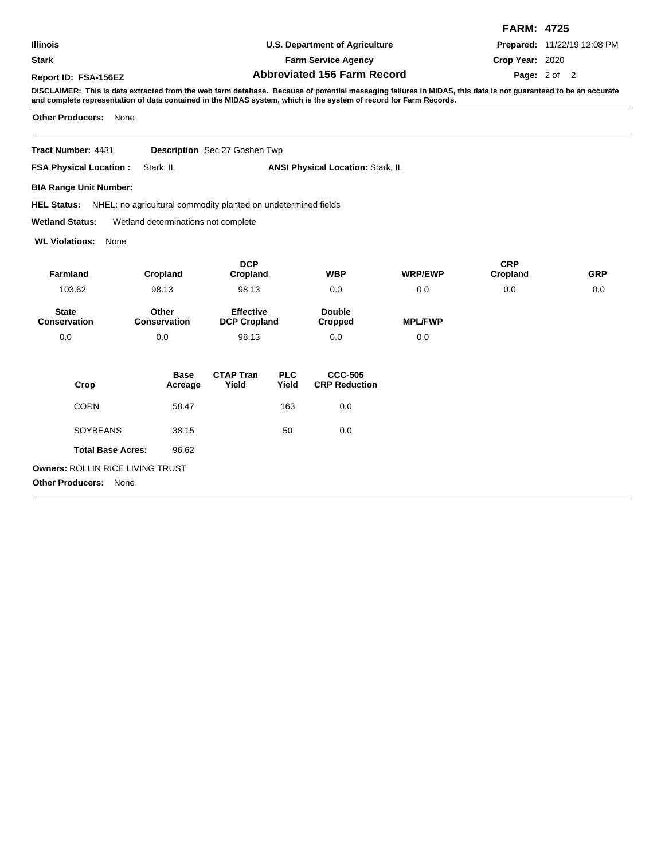**Stark**

## **U.S. Department of Agriculture Farm Service Agency**

**FARM: 4725 Prepared:** 11/22/19 12:08 PM

**Crop Year:** 2020

Page: 2 of 2

**Abbreviated 156 Farm Record Report ID: FSA-156EZ Page:**

**DISCLAIMER: This is data extracted from the web farm database. Because of potential messaging failures in MIDAS, this data is not guaranteed to be an accurate and complete representation of data contained in the MIDAS system, which is the system of record for Farm Records.**

**Other Producers:** None

**Tract Number: Description** Sec 27 Goshen Twp

| <b>FSA Physical Location:</b> Stark, IL |  | <b>ANSI Physical Location: Stark, IL</b> |
|-----------------------------------------|--|------------------------------------------|
|-----------------------------------------|--|------------------------------------------|

**BIA Range Unit Number:**

HEL Status: NHEL: no agricultural commodity planted on undetermined fields

**Wetland Status:** Wetland determinations not complete

**WL Violations:** None

|                                         |                        | <b>DCP</b>                              |                     |                                        |                | <b>CRP</b> |            |
|-----------------------------------------|------------------------|-----------------------------------------|---------------------|----------------------------------------|----------------|------------|------------|
| <b>Farmland</b>                         | Cropland               | Cropland                                |                     | <b>WBP</b>                             | <b>WRP/EWP</b> | Cropland   | <b>GRP</b> |
| 103.62                                  | 98.13<br>98.13         |                                         |                     | 0.0                                    | 0.0            | 0.0        | 0.0        |
| <b>State</b><br><b>Conservation</b>     | Other<br>Conservation  | <b>Effective</b><br><b>DCP Cropland</b> |                     | <b>Double</b><br>Cropped               | <b>MPL/FWP</b> |            |            |
| 0.0                                     | 0.0                    | 98.13                                   |                     | 0.0                                    | 0.0            |            |            |
| Crop                                    | <b>Base</b><br>Acreage | <b>CTAP Tran</b><br>Yield               | <b>PLC</b><br>Yield | <b>CCC-505</b><br><b>CRP Reduction</b> |                |            |            |
| <b>CORN</b>                             | 58.47                  |                                         | 163                 | 0.0                                    |                |            |            |
| <b>SOYBEANS</b>                         | 38.15                  |                                         | 50                  | 0.0                                    |                |            |            |
| <b>Total Base Acres:</b>                | 96.62                  |                                         |                     |                                        |                |            |            |
| <b>Owners: ROLLIN RICE LIVING TRUST</b> |                        |                                         |                     |                                        |                |            |            |
| <b>Other Producers:</b><br>None         |                        |                                         |                     |                                        |                |            |            |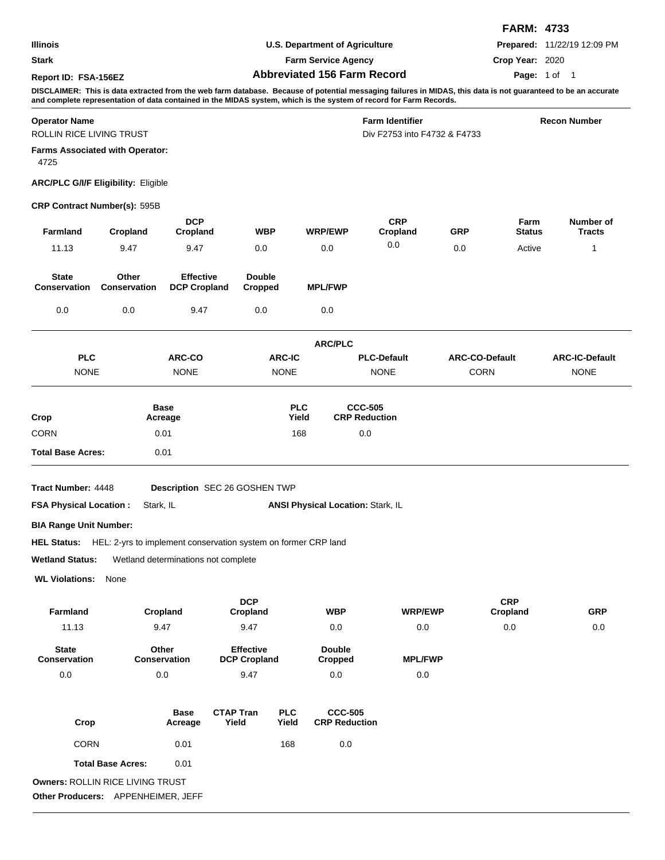|                                                  |                                                                            |                                         |                                         |               |                                          |                                                                                                                                                                                                                                                                                      |                       | <b>FARM: 4733</b>      |                             |
|--------------------------------------------------|----------------------------------------------------------------------------|-----------------------------------------|-----------------------------------------|---------------|------------------------------------------|--------------------------------------------------------------------------------------------------------------------------------------------------------------------------------------------------------------------------------------------------------------------------------------|-----------------------|------------------------|-----------------------------|
| Illinois                                         |                                                                            |                                         |                                         |               | <b>U.S. Department of Agriculture</b>    |                                                                                                                                                                                                                                                                                      |                       |                        | Prepared: 11/22/19 12:09 PM |
| <b>Stark</b>                                     |                                                                            | <b>Farm Service Agency</b>              |                                         |               |                                          |                                                                                                                                                                                                                                                                                      | Crop Year: 2020       |                        |                             |
| Report ID: FSA-156EZ                             |                                                                            |                                         |                                         |               | <b>Abbreviated 156 Farm Record</b>       |                                                                                                                                                                                                                                                                                      | <b>Page: 1 of 1</b>   |                        |                             |
|                                                  |                                                                            |                                         |                                         |               |                                          | DISCLAIMER: This is data extracted from the web farm database. Because of potential messaging failures in MIDAS, this data is not guaranteed to be an accurate<br>and complete representation of data contained in the MIDAS system, which is the system of record for Farm Records. |                       |                        |                             |
| <b>Operator Name</b><br>ROLLIN RICE LIVING TRUST |                                                                            |                                         |                                         |               |                                          | <b>Farm Identifier</b><br>Div F2753 into F4732 & F4733                                                                                                                                                                                                                               |                       |                        | <b>Recon Number</b>         |
| 4725                                             | <b>Farms Associated with Operator:</b>                                     |                                         |                                         |               |                                          |                                                                                                                                                                                                                                                                                      |                       |                        |                             |
|                                                  | <b>ARC/PLC G/I/F Eligibility: Eligible</b>                                 |                                         |                                         |               |                                          |                                                                                                                                                                                                                                                                                      |                       |                        |                             |
| <b>CRP Contract Number(s): 595B</b>              |                                                                            |                                         |                                         |               |                                          |                                                                                                                                                                                                                                                                                      |                       |                        |                             |
| <b>Farmland</b>                                  | Cropland                                                                   | <b>DCP</b><br>Cropland                  |                                         | <b>WBP</b>    | <b>WRP/EWP</b>                           | <b>CRP</b><br>Cropland                                                                                                                                                                                                                                                               | <b>GRP</b>            | Farm<br><b>Status</b>  | Number of<br><b>Tracts</b>  |
| 11.13                                            | 9.47                                                                       | 9.47                                    | 0.0                                     |               | 0.0                                      | 0.0                                                                                                                                                                                                                                                                                  | 0.0                   | Active                 | 1                           |
| <b>State</b><br><b>Conservation</b>              | Other<br><b>Conservation</b>                                               | <b>Effective</b><br><b>DCP Cropland</b> | <b>Double</b><br>Cropped                |               | <b>MPL/FWP</b>                           |                                                                                                                                                                                                                                                                                      |                       |                        |                             |
| 0.0                                              | 0.0                                                                        | 9.47                                    | 0.0                                     |               | 0.0                                      |                                                                                                                                                                                                                                                                                      |                       |                        |                             |
|                                                  |                                                                            |                                         |                                         |               | <b>ARC/PLC</b>                           |                                                                                                                                                                                                                                                                                      |                       |                        |                             |
| <b>PLC</b>                                       |                                                                            | <b>ARC-CO</b>                           |                                         | <b>ARC-IC</b> |                                          | <b>PLC-Default</b>                                                                                                                                                                                                                                                                   | <b>ARC-CO-Default</b> |                        | <b>ARC-IC-Default</b>       |
| <b>NONE</b>                                      |                                                                            | <b>NONE</b>                             |                                         | <b>NONE</b>   |                                          | <b>NONE</b>                                                                                                                                                                                                                                                                          | <b>CORN</b>           |                        | <b>NONE</b>                 |
|                                                  |                                                                            | <b>Base</b>                             |                                         | <b>PLC</b>    |                                          | <b>CCC-505</b>                                                                                                                                                                                                                                                                       |                       |                        |                             |
| Crop                                             |                                                                            | Acreage                                 |                                         | Yield         |                                          | <b>CRP Reduction</b>                                                                                                                                                                                                                                                                 |                       |                        |                             |
| CORN                                             |                                                                            | 0.01                                    |                                         | 168           |                                          | 0.0                                                                                                                                                                                                                                                                                  |                       |                        |                             |
| <b>Total Base Acres:</b>                         |                                                                            | 0.01                                    |                                         |               |                                          |                                                                                                                                                                                                                                                                                      |                       |                        |                             |
| <b>Tract Number: 4448</b>                        |                                                                            |                                         | <b>Description</b> SEC 26 GOSHEN TWP    |               |                                          |                                                                                                                                                                                                                                                                                      |                       |                        |                             |
| <b>FSA Physical Location:</b>                    | Stark, IL                                                                  |                                         |                                         |               | <b>ANSI Physical Location: Stark, IL</b> |                                                                                                                                                                                                                                                                                      |                       |                        |                             |
| <b>BIA Range Unit Number:</b>                    |                                                                            |                                         |                                         |               |                                          |                                                                                                                                                                                                                                                                                      |                       |                        |                             |
|                                                  | HEL Status: HEL: 2-yrs to implement conservation system on former CRP land |                                         |                                         |               |                                          |                                                                                                                                                                                                                                                                                      |                       |                        |                             |
| <b>Wetland Status:</b>                           | Wetland determinations not complete                                        |                                         |                                         |               |                                          |                                                                                                                                                                                                                                                                                      |                       |                        |                             |
| <b>WL Violations:</b>                            | None                                                                       |                                         |                                         |               |                                          |                                                                                                                                                                                                                                                                                      |                       |                        |                             |
| Farmland                                         |                                                                            | Cropland                                | <b>DCP</b><br>Cropland                  |               | <b>WBP</b>                               | <b>WRP/EWP</b>                                                                                                                                                                                                                                                                       |                       | <b>CRP</b><br>Cropland | <b>GRP</b>                  |
| 11.13                                            |                                                                            | 9.47                                    | 9.47                                    |               | 0.0                                      | 0.0                                                                                                                                                                                                                                                                                  |                       | 0.0                    | 0.0                         |
| <b>State</b><br>Conservation                     |                                                                            | Other<br>Conservation                   | <b>Effective</b><br><b>DCP Cropland</b> |               | <b>Double</b><br><b>Cropped</b>          | <b>MPL/FWP</b>                                                                                                                                                                                                                                                                       |                       |                        |                             |
| 0.0                                              |                                                                            | 0.0                                     | 9.47                                    |               | 0.0                                      | 0.0                                                                                                                                                                                                                                                                                  |                       |                        |                             |
|                                                  |                                                                            | <b>Base</b>                             | <b>CTAP Tran</b>                        | <b>PLC</b>    | <b>CCC-505</b>                           |                                                                                                                                                                                                                                                                                      |                       |                        |                             |
| Crop                                             |                                                                            | Acreage                                 | Yield                                   | Yield         | <b>CRP Reduction</b>                     |                                                                                                                                                                                                                                                                                      |                       |                        |                             |
| <b>CORN</b>                                      |                                                                            | 0.01                                    |                                         | 168           | 0.0                                      |                                                                                                                                                                                                                                                                                      |                       |                        |                             |
|                                                  | <b>Total Base Acres:</b>                                                   | 0.01                                    |                                         |               |                                          |                                                                                                                                                                                                                                                                                      |                       |                        |                             |
|                                                  | Owners: ROLLIN RICE LIVING TRUST<br>Other Producers: APPENHEIMER, JEFF     |                                         |                                         |               |                                          |                                                                                                                                                                                                                                                                                      |                       |                        |                             |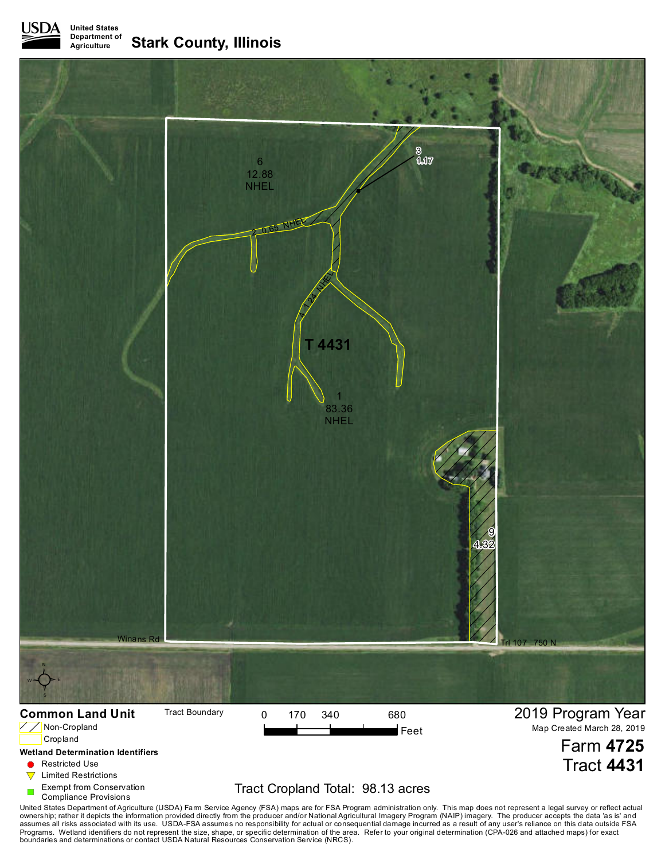**United States Department of Agriculture Stark County, Illinois**



**C** Restricted Use

 $\nabla$  Limited Restrictions

Exempt from Conservation

Compliance Provisions

## Tract Cropland Total: 98.13 acres

United States Department of Agriculture (USDA) Farm Service Agency (FSA) maps are for FSA Program administration only. This map does not represent a legal survey or reflect actual<br>ownership; rather it depicts the informati boundaries and determinations or contact USDA Natural Resources Conservation Service (NRCS).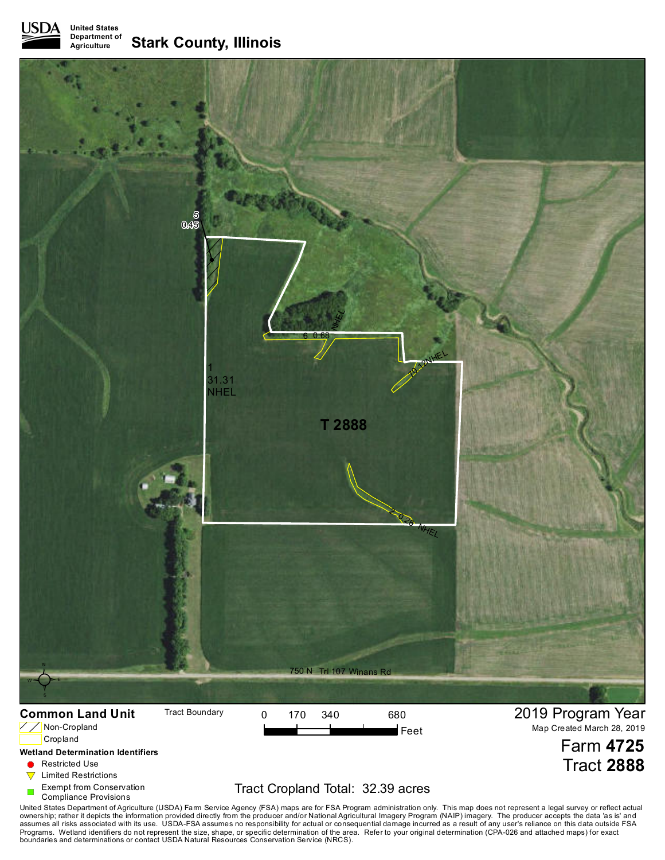**United States Department of Agriculture Stark County, Illinois**



**A** Restricted Use

- 
- $\nabla$  Limited Restrictions

Exempt from Conservation

Compliance Provisions

## Tract Cropland Total: 32.39 acres

Tract **2888**

United States Department of Agriculture (USDA) Farm Service Agency (FSA) maps are for FSA Program administration only. This map does not represent a legal survey or reflect actual<br>awnership; rather it depicts the informati